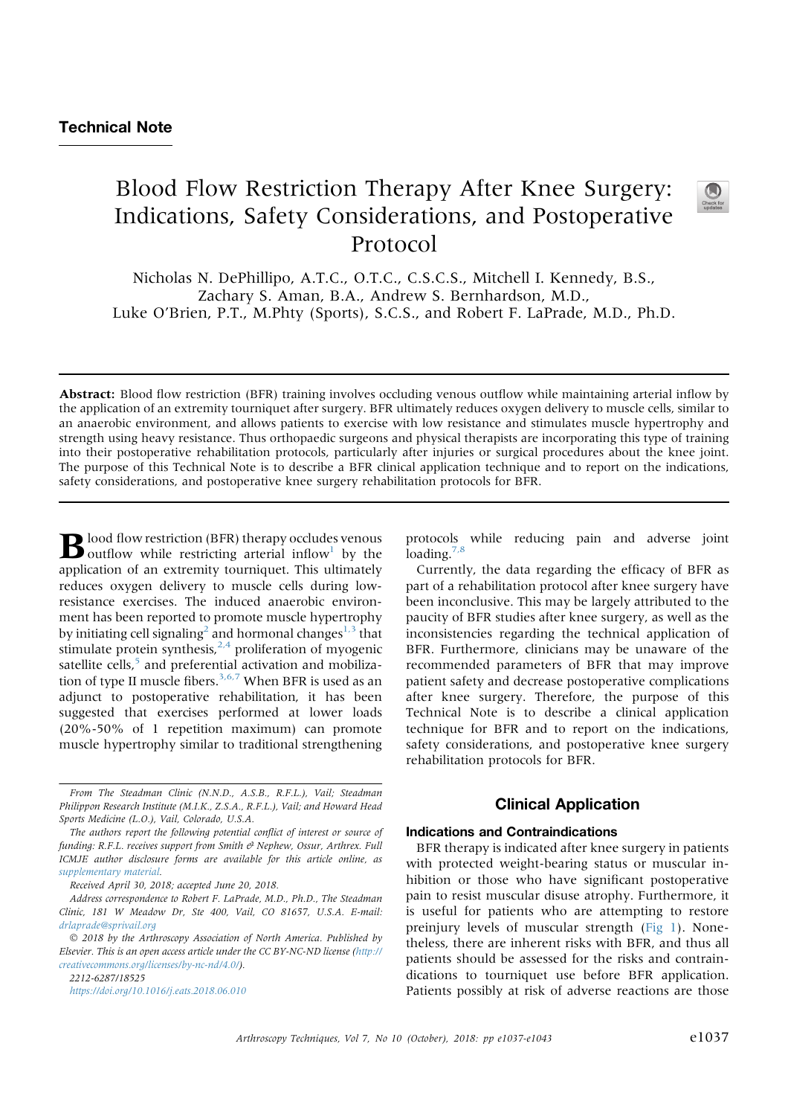# Blood Flow Restriction Therapy After Knee Surgery: Indications, Safety Considerations, and Postoperative Protocol



Nicholas N. DePhillipo, A.T.C., O.T.C., C.S.C.S., Mitchell I. Kennedy, B.S., Zachary S. Aman, B.A., Andrew S. Bernhardson, M.D., Luke O'Brien, P.T., M.Phty (Sports), S.C.S., and Robert F. LaPrade, M.D., Ph.D.

Abstract: Blood flow restriction (BFR) training involves occluding venous outflow while maintaining arterial inflow by the application of an extremity tourniquet after surgery. BFR ultimately reduces oxygen delivery to muscle cells, similar to an anaerobic environment, and allows patients to exercise with low resistance and stimulates muscle hypertrophy and strength using heavy resistance. Thus orthopaedic surgeons and physical therapists are incorporating this type of training into their postoperative rehabilitation protocols, particularly after injuries or surgical procedures about the knee joint. The purpose of this Technical Note is to describe a BFR clinical application technique and to report on the indications, safety considerations, and postoperative knee surgery rehabilitation protocols for BFR.

 $\bf{B}$  lood flow restriction (BFR) therapy occludes venous outflow while restricting arterial inflow<sup>1</sup> by the application of an extremity tourniquet. This ultimately reduces oxygen delivery to muscle cells during lowresistance exercises. The induced anaerobic environment has been reported to promote muscle hypertrophy by initiating cell signaling<sup>2</sup> and hormonal changes<sup>1,3</sup> that stimulate protein synthesis, $2,4$  proliferation of myogenic satellite cells,<sup>5</sup> and preferential activation and mobilization of type II muscle fibers.<sup>3,6,7</sup> When BFR is used as an adjunct to postoperative rehabilitation, it has been suggested that exercises performed at lower loads (20%-50% of 1 repetition maximum) can promote muscle hypertrophy similar to traditional strengthening

Received April 30, 2018; accepted June 20, 2018.

2212-6287/18525 https://doi.org/10.1016/j.eats.2018.06.010 protocols while reducing pain and adverse joint loading. $7,8$ 

Currently, the data regarding the efficacy of BFR as part of a rehabilitation protocol after knee surgery have been inconclusive. This may be largely attributed to the paucity of BFR studies after knee surgery, as well as the inconsistencies regarding the technical application of BFR. Furthermore, clinicians may be unaware of the recommended parameters of BFR that may improve patient safety and decrease postoperative complications after knee surgery. Therefore, the purpose of this Technical Note is to describe a clinical application technique for BFR and to report on the indications, safety considerations, and postoperative knee surgery rehabilitation protocols for BFR.

## Clinical Application

### Indications and Contraindications

BFR therapy is indicated after knee surgery in patients with protected weight-bearing status or muscular inhibition or those who have significant postoperative pain to resist muscular disuse atrophy. Furthermore, it is useful for patients who are attempting to restore preinjury levels of muscular strength (Fig 1). Nonetheless, there are inherent risks with BFR, and thus all patients should be assessed for the risks and contraindications to tourniquet use before BFR application. Patients possibly at risk of adverse reactions are those

From The Steadman Clinic (N.N.D., A.S.B., R.F.L.), Vail; Steadman Philippon Research Institute (M.I.K., Z.S.A., R.F.L.), Vail; and Howard Head Sports Medicine (L.O.), Vail, Colorado, U.S.A.

The authors report the following potential conflict of interest or source of funding: R.F.L. receives support from Smith & Nephew, Ossur, Arthrex. Full ICMJE author disclosure forms are available for this article online, as supplementary material.

Address correspondence to Robert F. LaPrade, M.D., Ph.D., The Steadman Clinic, 181 W Meadow Dr, Ste 400, Vail, CO 81657, U.S.A. E-mail: drlaprade@sprivail.org

<sup>!</sup> 2018 by the Arthroscopy Association of North America. Published by Elsevier. This is an open access article under the CC BY-NC-ND license (http:// creativecommons.org/licenses/by-nc-nd/4.0/).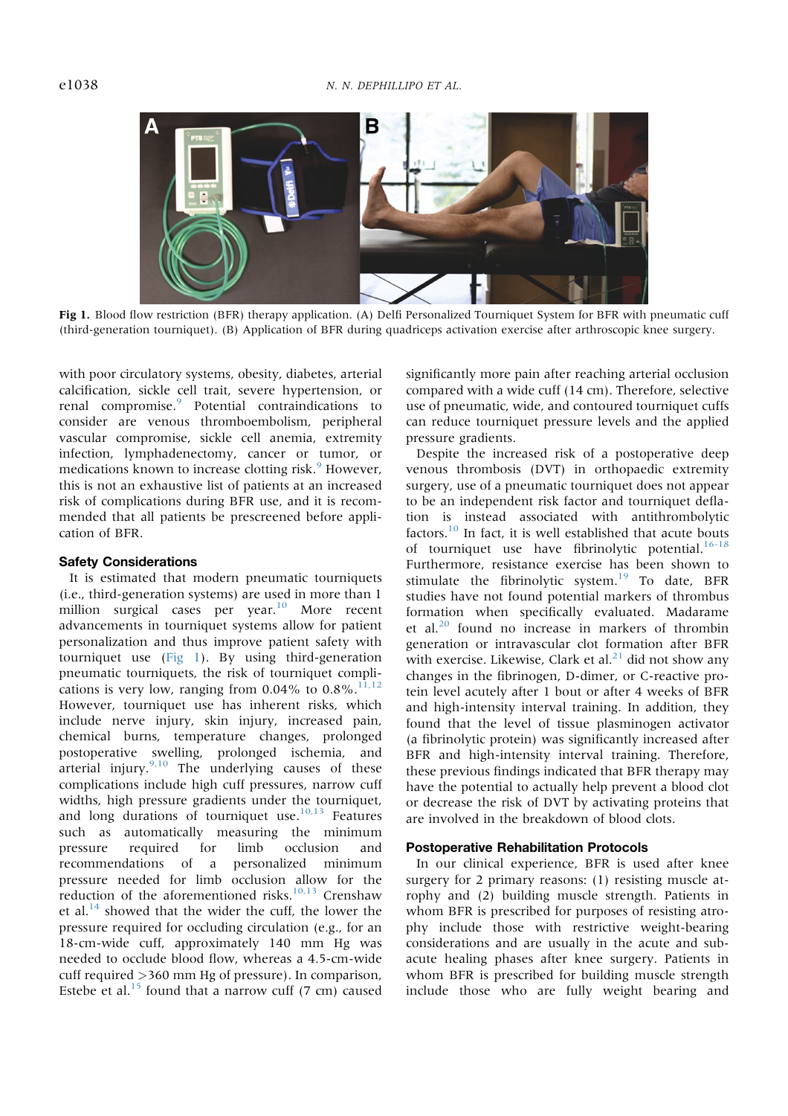

Fig 1. Blood flow restriction (BFR) therapy application. (A) Delfi Personalized Tourniquet System for BFR with pneumatic cuff (third-generation tourniquet). (B) Application of BFR during quadriceps activation exercise after arthroscopic knee surgery.

with poor circulatory systems, obesity, diabetes, arterial calcification, sickle cell trait, severe hypertension, or renal compromise.<sup>9</sup> Potential contraindications to consider are venous thromboembolism, peripheral vascular compromise, sickle cell anemia, extremity infection, lymphadenectomy, cancer or tumor, or medications known to increase clotting risk.<sup>9</sup> However, this is not an exhaustive list of patients at an increased risk of complications during BFR use, and it is recommended that all patients be prescreened before application of BFR.

#### Safety Considerations

It is estimated that modern pneumatic tourniquets (i.e., third-generation systems) are used in more than 1 million surgical cases per year.<sup>10</sup> More recent advancements in tourniquet systems allow for patient personalization and thus improve patient safety with tourniquet use (Fig 1). By using third-generation pneumatic tourniquets, the risk of tourniquet complications is very low, ranging from  $0.04\%$  to  $0.8\%$ .<sup>11,12</sup> However, tourniquet use has inherent risks, which include nerve injury, skin injury, increased pain, chemical burns, temperature changes, prolonged postoperative swelling, prolonged ischemia, and arterial injury. $9,10$  The underlying causes of these complications include high cuff pressures, narrow cuff widths, high pressure gradients under the tourniquet, and long durations of tourniquet use. $10,13$  Features such as automatically measuring the minimum pressure required for limb occlusion and recommendations of a personalized minimum pressure needed for limb occlusion allow for the reduction of the aforementioned risks.<sup>10,13</sup> Crenshaw et al. $^{14}$  showed that the wider the cuff, the lower the pressure required for occluding circulation (e.g., for an 18-cm-wide cuff, approximately 140 mm Hg was needed to occlude blood flow, whereas a 4.5-cm-wide cuff required  $>360$  mm Hg of pressure). In comparison, Estebe et al.<sup>15</sup> found that a narrow cuff  $(7 \text{ cm})$  caused significantly more pain after reaching arterial occlusion compared with a wide cuff (14 cm). Therefore, selective use of pneumatic, wide, and contoured tourniquet cuffs can reduce tourniquet pressure levels and the applied pressure gradients.

Despite the increased risk of a postoperative deep venous thrombosis (DVT) in orthopaedic extremity surgery, use of a pneumatic tourniquet does not appear to be an independent risk factor and tourniquet deflation is instead associated with antithrombolytic factors. $10$  In fact, it is well established that acute bouts of tourniquet use have fibrinolytic potential.<sup>16-18</sup> Furthermore, resistance exercise has been shown to stimulate the fibrinolytic system.<sup>19</sup> To date, BFR studies have not found potential markers of thrombus formation when specifically evaluated. Madarame et al.<sup>20</sup> found no increase in markers of thrombin generation or intravascular clot formation after BFR with exercise. Likewise, Clark et al. $^{21}$  did not show any changes in the fibrinogen, D-dimer, or C-reactive protein level acutely after 1 bout or after 4 weeks of BFR and high-intensity interval training. In addition, they found that the level of tissue plasminogen activator (a fibrinolytic protein) was significantly increased after BFR and high-intensity interval training. Therefore, these previous findings indicated that BFR therapy may have the potential to actually help prevent a blood clot or decrease the risk of DVT by activating proteins that are involved in the breakdown of blood clots.

#### Postoperative Rehabilitation Protocols

In our clinical experience, BFR is used after knee surgery for 2 primary reasons: (1) resisting muscle atrophy and (2) building muscle strength. Patients in whom BFR is prescribed for purposes of resisting atrophy include those with restrictive weight-bearing considerations and are usually in the acute and subacute healing phases after knee surgery. Patients in whom BFR is prescribed for building muscle strength include those who are fully weight bearing and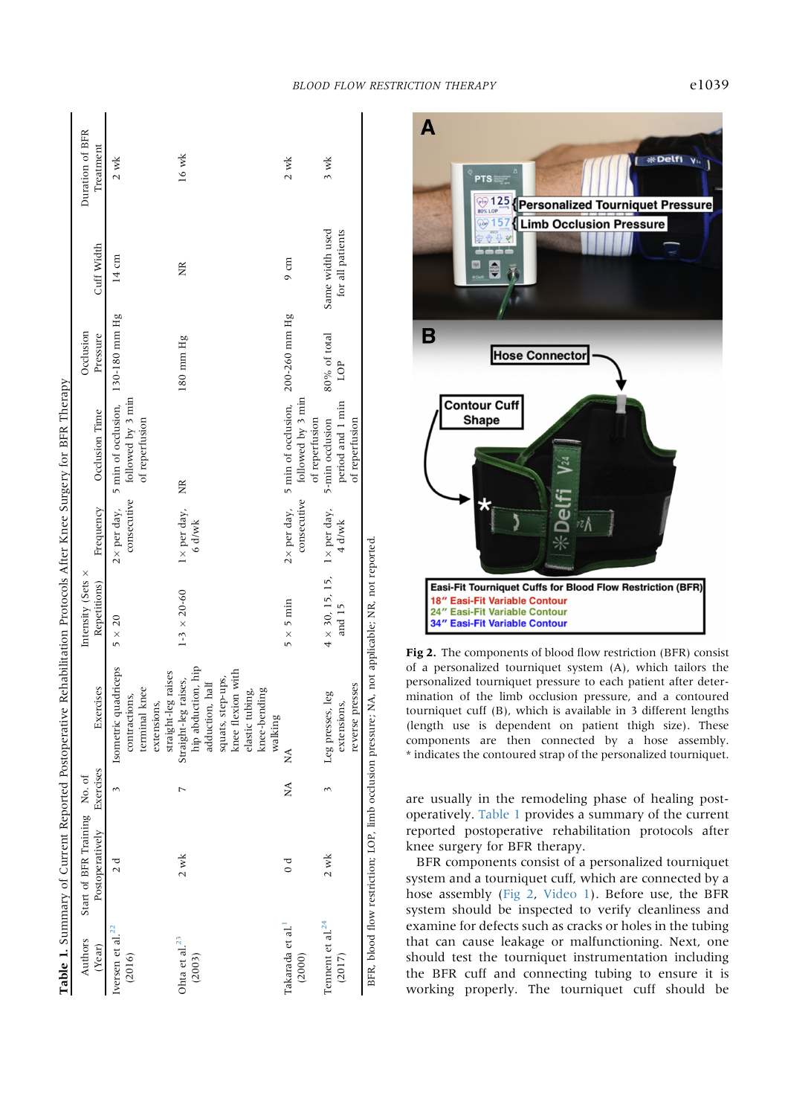|                                        |                                                            |           | Table 1. Summary of Current Reported Postoperative Rehabilitation Protocols After Knee Surgery for BFR Therapy |                                                       |                                 |                                                                                              |                     |                                     |                 |
|----------------------------------------|------------------------------------------------------------|-----------|----------------------------------------------------------------------------------------------------------------|-------------------------------------------------------|---------------------------------|----------------------------------------------------------------------------------------------|---------------------|-------------------------------------|-----------------|
| Authors                                | Start of BFR Training No. of                               |           |                                                                                                                | Intensity (Sets x                                     |                                 |                                                                                              | Occlusion           |                                     | Duration of BFR |
| (Year)                                 | Postoperatively                                            | Exercises | Exercises                                                                                                      | Repetitions)                                          | Frequency                       | Occlusion Time                                                                               | Pressure            | Cuff Width                          | Treatment       |
| Iversen et al. <sup>22</sup><br>(2016) | d<br>2 d                                                   |           | Isometric quadriceps<br>terminal knee<br>contractions,<br>extensions,                                          | $5 \times 20$                                         | consecutive                     | $2 \times$ per day, 5 min of occlusion, 130-180 mm Hg<br>followed by 3 min<br>of reperfusion |                     | $14 \text{ cm}$                     | $2$ wk          |
| Ohta et al. $^{23}$<br>(2003)          | $2$ wk                                                     |           | hip abduction, hip<br>straight-leg raises<br>Straight-leg raises,<br>adduction, half                           | $1-3 \times 20-60$                                    | $1 \times$ per day,<br>$6$ d/wk | E                                                                                            | 180 mm Hg           | XR                                  | $16$ wk         |
|                                        |                                                            |           | knee flexion with<br>squats, step-ups,<br>elastic tubing,<br>knee-bending                                      |                                                       |                                 |                                                                                              |                     |                                     |                 |
| Takarada et al. <sup>1</sup><br>(2000) | d<br>O                                                     | NA        | walking<br>$\overline{M}$                                                                                      | $5 \times 5$ min                                      | consecutive                     | followed by 3 min<br>$2 \times$ per day, 5 min of occlusion,<br>of reperfusion               | 200-260 mm Hg       | $9 \text{ cm}$                      | $2$ wk          |
| Tennent et al. $^{24}$<br>(2017)       | $2$ wk                                                     |           | oresses<br>Leg presses, leg<br>extensions,<br>reverse                                                          | $4 \times 30$ , 15, 15, 1 $\times$ per day,<br>and 15 | 4 d/wk                          | period and 1 min<br>5-min occlusion<br>of reperfusion                                        | 80% of total<br>LOP | Same width used<br>for all patients | $3$ wk          |
|                                        | BFR, blood flow restriction; LOP, limb occlusion pressure; |           |                                                                                                                | NA, not applicable; NR, not reported                  |                                 |                                                                                              |                     |                                     |                 |



Fig 2. The components of blood flow restriction (BFR) consist of a personalized tourniquet system (A), which tailors the personalized tourniquet pressure to each patient after determination of the limb occlusion pressure, and a contoured tourniquet cuff (B), which is available in 3 different lengths (length use is dependent on patient thigh size). These components are then connected by a hose assembly. \* indicates the contoured strap of the personalized tourniquet.

are usually in the remodeling phase of healing postoperatively. Table 1 provides a summary of the current reported postoperative rehabilitation protocols after knee surgery for BFR therapy.

BFR components consist of a personalized tourniquet system and a tourniquet cuff, which are connected by a hose assembly (Fig 2, Video 1). Before use, the BFR system should be inspected to verify cleanliness and examine for defects such as cracks or holes in the tubing that can cause leakage or malfunctioning. Next, one should test the tourniquet instrumentation including the BFR cuff and connecting tubing to ensure it is working properly. The tourniquet cuff should be

 $\mathbf{A}$ 

米Delfi yu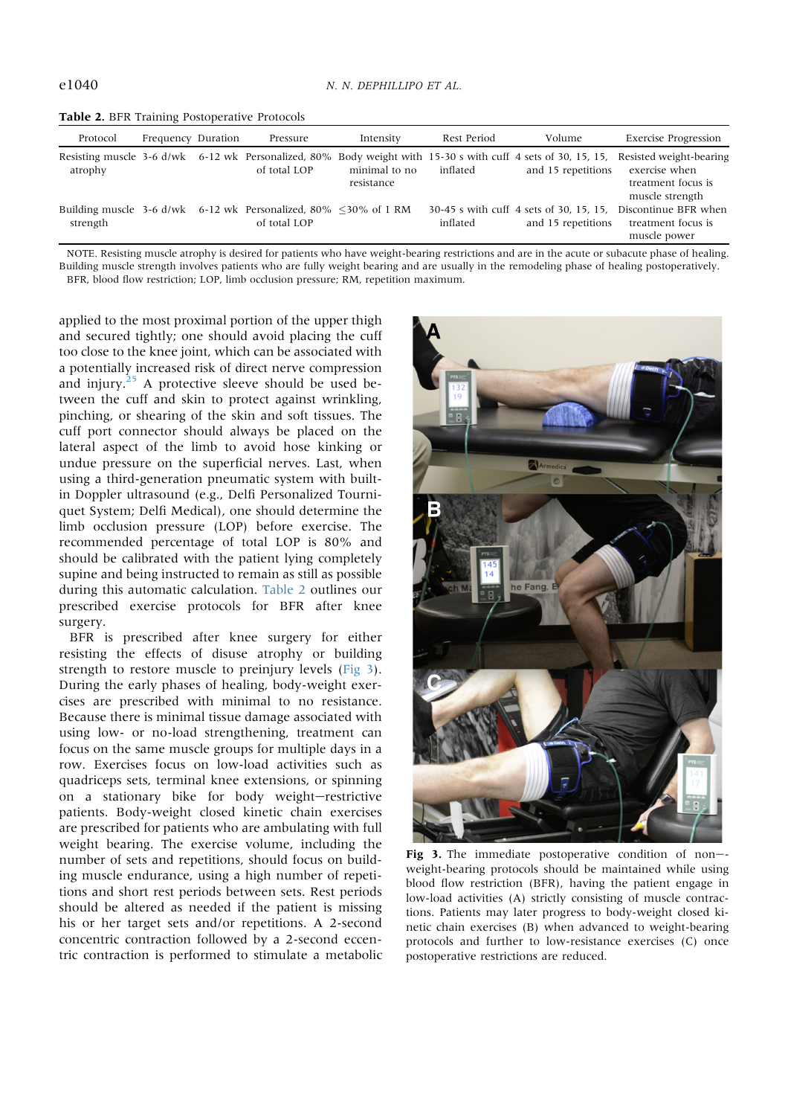|  |  |  | Table 2. BFR Training Postoperative Protocols |  |
|--|--|--|-----------------------------------------------|--|
|--|--|--|-----------------------------------------------|--|

| Protocol | Frequency Duration | Pressure                                                                              | Intensity     | Rest Period | Volume             | <b>Exercise Progression</b>                                                                                                                           |
|----------|--------------------|---------------------------------------------------------------------------------------|---------------|-------------|--------------------|-------------------------------------------------------------------------------------------------------------------------------------------------------|
| atrophy  |                    | of total LOP                                                                          | minimal to no | inflated    | and 15 repetitions | Resisting muscle 3-6 d/wk 6-12 wk Personalized, 80% Body weight with 15-30 s with cuff 4 sets of 30, 15, 15, Resisted weight-bearing<br>exercise when |
|          |                    |                                                                                       | resistance    |             |                    | treatment focus is<br>muscle strength                                                                                                                 |
| strength |                    | Building muscle 3-6 d/wk 6-12 wk Personalized, 80% $\leq$ 30% of 1 RM<br>of total LOP |               | inflated    | and 15 repetitions | 30-45 s with cuff 4 sets of 30, 15, 15. Discontinue BFR when<br>treatment focus is<br>muscle power                                                    |

NOTE. Resisting muscle atrophy is desired for patients who have weight-bearing restrictions and are in the acute or subacute phase of healing. Building muscle strength involves patients who are fully weight bearing and are usually in the remodeling phase of healing postoperatively. BFR, blood flow restriction; LOP, limb occlusion pressure; RM, repetition maximum.

applied to the most proximal portion of the upper thigh and secured tightly; one should avoid placing the cuff too close to the knee joint, which can be associated with a potentially increased risk of direct nerve compression and injury. $^{25}$  A protective sleeve should be used between the cuff and skin to protect against wrinkling, pinching, or shearing of the skin and soft tissues. The cuff port connector should always be placed on the lateral aspect of the limb to avoid hose kinking or undue pressure on the superficial nerves. Last, when using a third-generation pneumatic system with builtin Doppler ultrasound (e.g., Delfi Personalized Tourniquet System; Delfi Medical), one should determine the limb occlusion pressure (LOP) before exercise. The recommended percentage of total LOP is 80% and should be calibrated with the patient lying completely supine and being instructed to remain as still as possible during this automatic calculation. Table 2 outlines our prescribed exercise protocols for BFR after knee surgery.

BFR is prescribed after knee surgery for either resisting the effects of disuse atrophy or building strength to restore muscle to preinjury levels (Fig 3). During the early phases of healing, body-weight exercises are prescribed with minimal to no resistance. Because there is minimal tissue damage associated with using low- or no-load strengthening, treatment can focus on the same muscle groups for multiple days in a row. Exercises focus on low-load activities such as quadriceps sets, terminal knee extensions, or spinning on a stationary bike for body weight-restrictive patients. Body-weight closed kinetic chain exercises are prescribed for patients who are ambulating with full weight bearing. The exercise volume, including the number of sets and repetitions, should focus on building muscle endurance, using a high number of repetitions and short rest periods between sets. Rest periods should be altered as needed if the patient is missing his or her target sets and/or repetitions. A 2-second concentric contraction followed by a 2-second eccentric contraction is performed to stimulate a metabolic



Fig 3. The immediate postoperative condition of non-weight-bearing protocols should be maintained while using blood flow restriction (BFR), having the patient engage in low-load activities (A) strictly consisting of muscle contractions. Patients may later progress to body-weight closed kinetic chain exercises (B) when advanced to weight-bearing protocols and further to low-resistance exercises (C) once postoperative restrictions are reduced.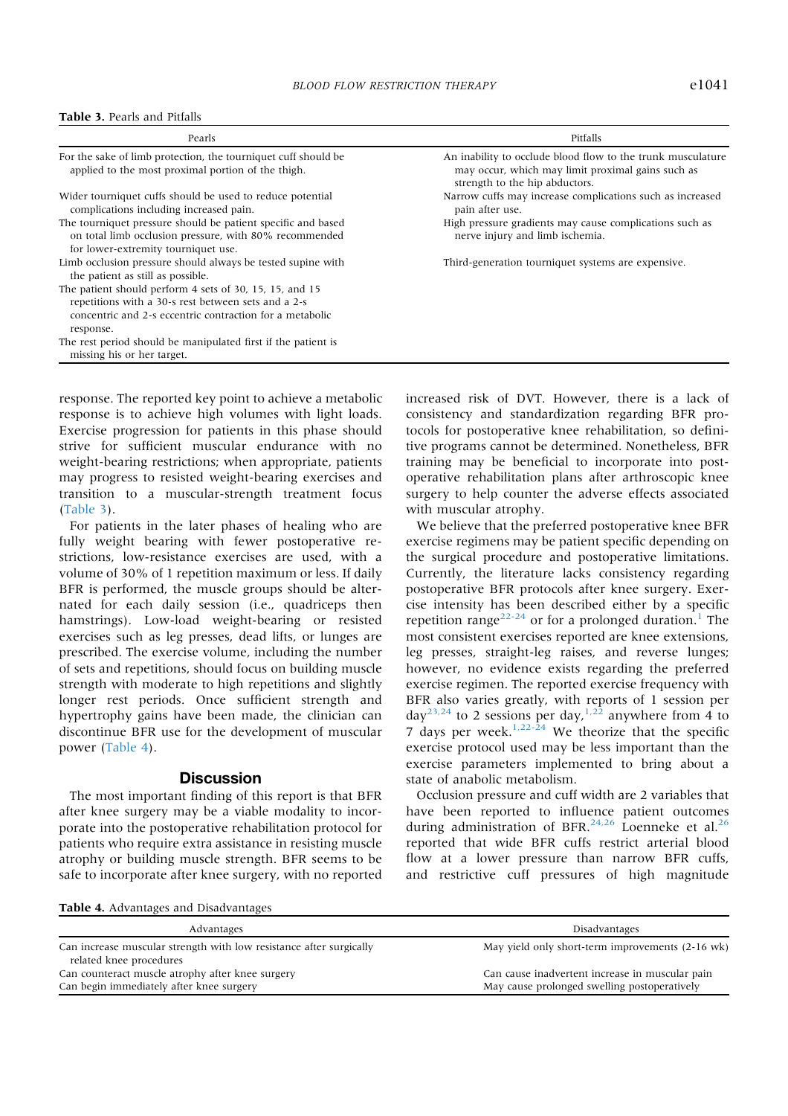#### Table 3. Pearls and Pitfalls

| Pearls                                                                                                                                                                                  | Pitfalls                                                                                                                                           |
|-----------------------------------------------------------------------------------------------------------------------------------------------------------------------------------------|----------------------------------------------------------------------------------------------------------------------------------------------------|
| For the sake of limb protection, the tourniquet cuff should be<br>applied to the most proximal portion of the thigh.                                                                    | An inability to occlude blood flow to the trunk musculature<br>may occur, which may limit proximal gains such as<br>strength to the hip abductors. |
| Wider tourniquet cuffs should be used to reduce potential<br>complications including increased pain.                                                                                    | Narrow cuffs may increase complications such as increased<br>pain after use.                                                                       |
| The tourniquet pressure should be patient specific and based<br>on total limb occlusion pressure, with 80% recommended<br>for lower-extremity tourniquet use.                           | High pressure gradients may cause complications such as<br>nerve injury and limb ischemia.                                                         |
| Limb occlusion pressure should always be tested supine with<br>the patient as still as possible.                                                                                        | Third-generation tourniquet systems are expensive.                                                                                                 |
| The patient should perform 4 sets of 30, 15, 15, and 15<br>repetitions with a 30-s rest between sets and a 2-s<br>concentric and 2-s eccentric contraction for a metabolic<br>response. |                                                                                                                                                    |
| The rest period should be manipulated first if the patient is<br>missing his or her target.                                                                                             |                                                                                                                                                    |

response. The reported key point to achieve a metabolic response is to achieve high volumes with light loads. Exercise progression for patients in this phase should strive for sufficient muscular endurance with no weight-bearing restrictions; when appropriate, patients may progress to resisted weight-bearing exercises and transition to a muscular-strength treatment focus (Table 3).

For patients in the later phases of healing who are fully weight bearing with fewer postoperative restrictions, low-resistance exercises are used, with a volume of 30% of 1 repetition maximum or less. If daily BFR is performed, the muscle groups should be alternated for each daily session (i.e., quadriceps then hamstrings). Low-load weight-bearing or resisted exercises such as leg presses, dead lifts, or lunges are prescribed. The exercise volume, including the number of sets and repetitions, should focus on building muscle strength with moderate to high repetitions and slightly longer rest periods. Once sufficient strength and hypertrophy gains have been made, the clinician can discontinue BFR use for the development of muscular power (Table 4).

#### **Discussion**

The most important finding of this report is that BFR after knee surgery may be a viable modality to incorporate into the postoperative rehabilitation protocol for patients who require extra assistance in resisting muscle atrophy or building muscle strength. BFR seems to be safe to incorporate after knee surgery, with no reported increased risk of DVT. However, there is a lack of consistency and standardization regarding BFR protocols for postoperative knee rehabilitation, so definitive programs cannot be determined. Nonetheless, BFR training may be beneficial to incorporate into postoperative rehabilitation plans after arthroscopic knee surgery to help counter the adverse effects associated with muscular atrophy.

We believe that the preferred postoperative knee BFR exercise regimens may be patient specific depending on the surgical procedure and postoperative limitations. Currently, the literature lacks consistency regarding postoperative BFR protocols after knee surgery. Exercise intensity has been described either by a specific repetition range<sup>22-24</sup> or for a prolonged duration.<sup>1</sup> The most consistent exercises reported are knee extensions, leg presses, straight-leg raises, and reverse lunges; however, no evidence exists regarding the preferred exercise regimen. The reported exercise frequency with BFR also varies greatly, with reports of 1 session per day<sup>23,24</sup> to 2 sessions per day,<sup>1,22</sup> anywhere from 4 to 7 days per week. $1,22-24$  We theorize that the specific exercise protocol used may be less important than the exercise parameters implemented to bring about a state of anabolic metabolism.

Occlusion pressure and cuff width are 2 variables that have been reported to influence patient outcomes during administration of BFR.<sup>24,26</sup> Loenneke et al.<sup>26</sup> reported that wide BFR cuffs restrict arterial blood flow at a lower pressure than narrow BFR cuffs, and restrictive cuff pressures of high magnitude

Table 4. Advantages and Disadvantages

| Advantages                                                          | Disadvantages                                    |
|---------------------------------------------------------------------|--------------------------------------------------|
| Can increase muscular strength with low resistance after surgically | May yield only short-term improvements (2-16 wk) |
| related knee procedures                                             |                                                  |
| Can counteract muscle atrophy after knee surgery                    | Can cause inadvertent increase in muscular pain  |
| Can begin immediately after knee surgery                            | May cause prolonged swelling postoperatively     |
|                                                                     |                                                  |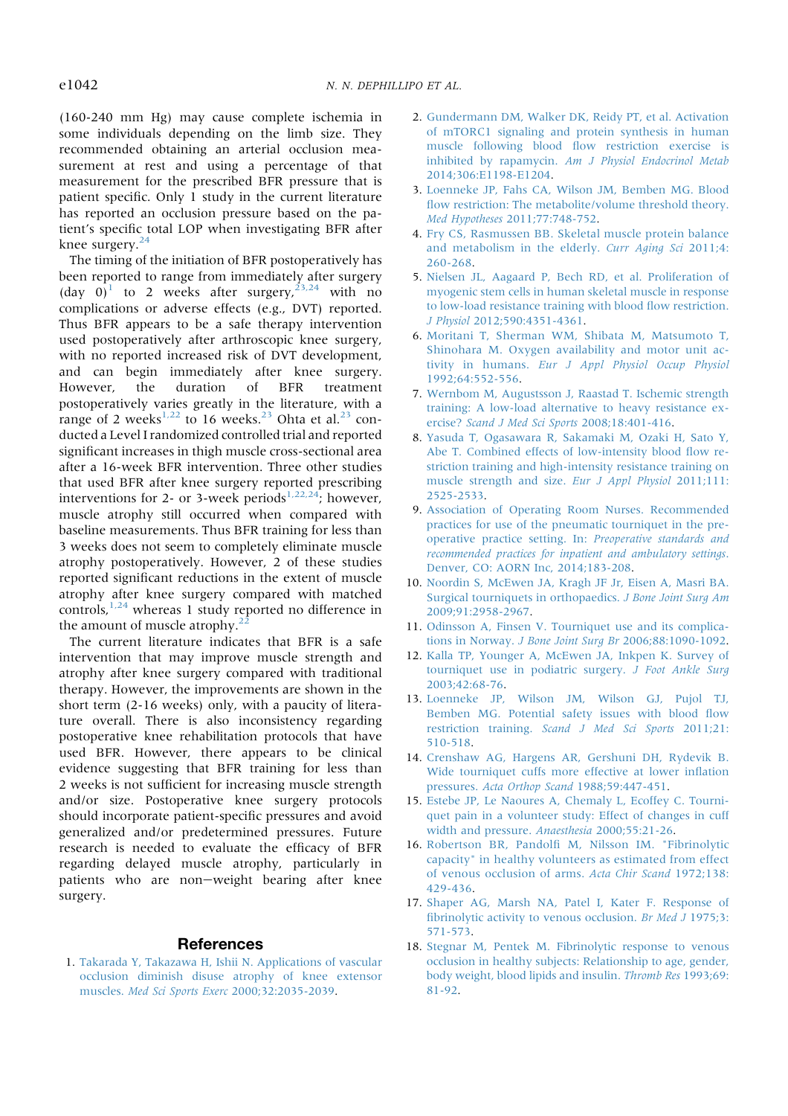(160-240 mm Hg) may cause complete ischemia in some individuals depending on the limb size. They recommended obtaining an arterial occlusion measurement at rest and using a percentage of that measurement for the prescribed BFR pressure that is patient specific. Only 1 study in the current literature has reported an occlusion pressure based on the patient's specific total LOP when investigating BFR after knee surgery.<sup>24</sup>

The timing of the initiation of BFR postoperatively has been reported to range from immediately after surgery  $(\text{day } 0)^1$  to 2 weeks after surgery,  $2^{3,24}$  with no complications or adverse effects (e.g., DVT) reported. Thus BFR appears to be a safe therapy intervention used postoperatively after arthroscopic knee surgery, with no reported increased risk of DVT development, and can begin immediately after knee surgery. However, the duration of BFR treatment postoperatively varies greatly in the literature, with a range of 2 weeks<sup>1,22</sup> to 16 weeks.<sup>23</sup> Ohta et al.<sup>23</sup> conducted a Level I randomized controlled trial and reported significant increases in thigh muscle cross-sectional area after a 16-week BFR intervention. Three other studies that used BFR after knee surgery reported prescribing interventions for 2- or 3-week periods<sup>1,22,24</sup>; however, muscle atrophy still occurred when compared with baseline measurements. Thus BFR training for less than 3 weeks does not seem to completely eliminate muscle atrophy postoperatively. However, 2 of these studies reported significant reductions in the extent of muscle atrophy after knee surgery compared with matched controls,  $1,24$  whereas 1 study reported no difference in the amount of muscle atrophy. $^{2}$ 

The current literature indicates that BFR is a safe intervention that may improve muscle strength and atrophy after knee surgery compared with traditional therapy. However, the improvements are shown in the short term (2-16 weeks) only, with a paucity of literature overall. There is also inconsistency regarding postoperative knee rehabilitation protocols that have used BFR. However, there appears to be clinical evidence suggesting that BFR training for less than 2 weeks is not sufficient for increasing muscle strength and/or size. Postoperative knee surgery protocols should incorporate patient-specific pressures and avoid generalized and/or predetermined pressures. Future research is needed to evaluate the efficacy of BFR regarding delayed muscle atrophy, particularly in patients who are non-weight bearing after knee surgery.

#### References

1. Takarada Y, Takazawa H, Ishii N. Applications of vascular occlusion diminish disuse atrophy of knee extensor muscles. Med Sci Sports Exerc 2000;32:2035-2039.

- 2. Gundermann DM, Walker DK, Reidy PT, et al. Activation of mTORC1 signaling and protein synthesis in human muscle following blood flow restriction exercise is inhibited by rapamycin. Am J Physiol Endocrinol Metab 2014;306:E1198-E1204.
- 3. Loenneke JP, Fahs CA, Wilson JM, Bemben MG. Blood flow restriction: The metabolite/volume threshold theory. Med Hypotheses 2011;77:748-752.
- 4. Fry CS, Rasmussen BB. Skeletal muscle protein balance and metabolism in the elderly. Curr Aging Sci 2011;4: 260-268.
- 5. Nielsen JL, Aagaard P, Bech RD, et al. Proliferation of myogenic stem cells in human skeletal muscle in response to low-load resistance training with blood flow restriction. J Physiol 2012;590:4351-4361.
- 6. Moritani T, Sherman WM, Shibata M, Matsumoto T, Shinohara M. Oxygen availability and motor unit activity in humans. Eur J Appl Physiol Occup Physiol 1992;64:552-556.
- 7. Wernbom M, Augustsson J, Raastad T. Ischemic strength training: A low-load alternative to heavy resistance exercise? Scand J Med Sci Sports 2008;18:401-416.
- 8. Yasuda T, Ogasawara R, Sakamaki M, Ozaki H, Sato Y, Abe T. Combined effects of low-intensity blood flow restriction training and high-intensity resistance training on muscle strength and size. Eur J Appl Physiol 2011;111: 2525-2533.
- 9. Association of Operating Room Nurses. Recommended practices for use of the pneumatic tourniquet in the preoperative practice setting. In: Preoperative standards and recommended practices for inpatient and ambulatory settings. Denver, CO: AORN Inc, 2014;183-208.
- 10. Noordin S, McEwen JA, Kragh JF Jr, Eisen A, Masri BA. Surgical tourniquets in orthopaedics. J Bone Joint Surg Am 2009;91:2958-2967.
- 11. Odinsson A, Finsen V. Tourniquet use and its complications in Norway. J Bone Joint Surg Br 2006;88:1090-1092.
- 12. Kalla TP, Younger A, McEwen JA, Inkpen K. Survey of tourniquet use in podiatric surgery. J Foot Ankle Surg 2003;42:68-76.
- 13. Loenneke JP, Wilson JM, Wilson GJ, Pujol TJ, Bemben MG. Potential safety issues with blood flow restriction training. Scand J Med Sci Sports 2011;21: 510-518.
- 14. Crenshaw AG, Hargens AR, Gershuni DH, Rydevik B. Wide tourniquet cuffs more effective at lower inflation pressures. Acta Orthop Scand 1988;59:447-451.
- 15. Estebe JP, Le Naoures A, Chemaly L, Ecoffey C. Tourniquet pain in a volunteer study: Effect of changes in cuff width and pressure. Anaesthesia 2000;55:21-26.
- 16. Robertson BR, Pandolfi M, Nilsson IM. "Fibrinolytic capacity" in healthy volunteers as estimated from effect of venous occlusion of arms. Acta Chir Scand 1972;138: 429-436.
- 17. Shaper AG, Marsh NA, Patel I, Kater F. Response of fibrinolytic activity to venous occlusion. Br Med J 1975;3: 571-573.
- 18. Stegnar M, Pentek M. Fibrinolytic response to venous occlusion in healthy subjects: Relationship to age, gender, body weight, blood lipids and insulin. Thromb Res 1993;69: 81-92.